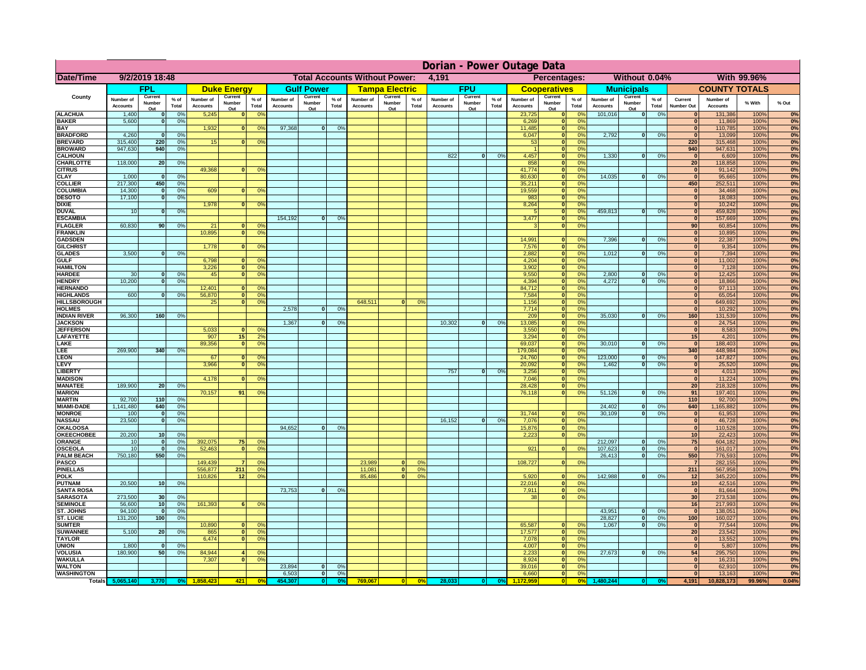|                                      | Dorian - Power Outage Data   |                          |                                  |                              |                                 |                                                                |                                               |                          |                 |                              |                          |                                              |                              |                          |               |                              |                                      |                               |                              |                          |               |                              |                              |              |          |
|--------------------------------------|------------------------------|--------------------------|----------------------------------|------------------------------|---------------------------------|----------------------------------------------------------------|-----------------------------------------------|--------------------------|-----------------|------------------------------|--------------------------|----------------------------------------------|------------------------------|--------------------------|---------------|------------------------------|--------------------------------------|-------------------------------|------------------------------|--------------------------|---------------|------------------------------|------------------------------|--------------|----------|
| Date/Time                            | 9/2/2019 18:48               |                          |                                  |                              |                                 |                                                                | <b>Total Accounts Without Power:</b><br>4,191 |                          |                 |                              |                          | Percentages:<br>Without 0.04%<br>With 99.96% |                              |                          |               |                              |                                      |                               |                              |                          |               |                              |                              |              |          |
|                                      |                              | <b>FPL</b>               |                                  |                              | <b>Duke Energy</b>              |                                                                |                                               | <b>Gulf Power</b>        |                 |                              | <b>Tampa Electric</b>    |                                              |                              | <b>FPU</b>               |               |                              | <b>Cooperatives</b>                  |                               |                              | <b>Municipals</b>        |               |                              | <b>COUNTY TOTALS</b>         |              |          |
| County                               | Number of<br><b>Accounts</b> | Current<br>Number<br>Out | $%$ of<br>Total                  | Number of<br><b>Accounts</b> | Current<br><b>Number</b><br>Out | $%$ of<br>Total                                                | Number of<br><b>Accounts</b>                  | Current<br>Number<br>Out | $%$ of<br>Total | Number of<br><b>Accounts</b> | Current<br>Number<br>Out | % of<br>Total                                | Number of<br><b>Accounts</b> | Current<br>Number<br>Out | % of<br>Total | Number of<br><b>Accounts</b> | Current<br>Number<br>Out             | $%$ of<br>Total               | Number of<br><b>Accounts</b> | Current<br>Number<br>Out | % of<br>Total | Current<br><b>Number Out</b> | Number of<br><b>Accounts</b> | % With       | % Out    |
| <b>ALACHUA</b>                       | 1,400                        |                          | 0 <sup>9</sup>                   | 5,245                        |                                 | 0 <sup>9</sup><br>$\bf{0}$                                     |                                               |                          |                 |                              |                          |                                              |                              |                          |               | 23,725                       | $\mathbf 0$                          | 0%                            | 101,016                      | $\mathbf{0}$             | 0%            |                              | 131,386                      | 100%         | 0%       |
| <b>BAKER</b><br><b>BAY</b>           | 5,600                        |                          | 0 <sup>9</sup>                   | 1,932                        |                                 | 0 <sup>9</sup><br>$\bf{0}$                                     | 97,368                                        | $\bf{0}$                 | 0%              |                              |                          |                                              |                              |                          |               | 6,269<br>11,485              | $\mathbf{0}$<br>$\mathbf{0}$         | 0%<br>0 <sup>9</sup>          |                              |                          |               | $\bf{0}$<br>$\mathbf{0}$     | 11,869<br>110,785            | 100%<br>100% | 0%<br>0% |
| <b>BRADFORD</b>                      | 4,260                        |                          | 0 <sup>9</sup>                   |                              |                                 |                                                                |                                               |                          |                 |                              |                          |                                              |                              |                          |               | 6,047                        | $\mathbf{0}$                         | 0%                            | 2,792                        | 0                        | 0%            | $\Omega$                     | 13,099                       | 100%         | 0%       |
| <b>BREVARD</b>                       | 315,400                      | 220                      | 0 <sup>9</sup>                   | 15                           |                                 | 0 <sup>9</sup>                                                 |                                               |                          |                 |                              |                          |                                              |                              |                          |               | 53                           | $\mathbf{0}$                         | 0%                            |                              |                          |               | 220                          | 315,468                      | 100%         | 0%       |
| <b>BROWARD</b>                       | 947,630                      | 940                      | 0 <sup>9</sup>                   |                              |                                 |                                                                |                                               |                          |                 |                              |                          |                                              |                              |                          |               |                              | ō                                    | 0%                            |                              |                          |               | 940                          | 947,631                      | 100%         | 0%       |
| <b>CALHOUN</b><br><b>CHARLOTTE</b>   | 118,000                      | 20                       | 0%                               |                              |                                 |                                                                |                                               |                          |                 |                              |                          |                                              | 822                          | $\mathbf{0}$             | 0%            | 4,457<br>858                 | $\mathbf{0}$<br>$\mathbf{0}$         | 0%<br>0%                      | 1,330                        | ol                       | 0%            | $\mathbf{0}$<br>20           | 6,609<br>118,858             | 100%<br>100% | 0%<br>0% |
| <b>CITRUS</b>                        |                              |                          |                                  | 49,368                       |                                 | 0 <sup>9</sup>                                                 |                                               |                          |                 |                              |                          |                                              |                              |                          |               | 41,774                       | $\mathbf{0}$                         | 0%                            |                              |                          |               | $\mathbf{0}$                 | 91,142                       | 100%         | 0%       |
| <b>CLAY</b>                          | 1,000                        | - 0                      | 0 <sup>9</sup>                   |                              |                                 |                                                                |                                               |                          |                 |                              |                          |                                              |                              |                          |               | 80,630                       | $\bullet$                            | 0%                            | 14,035                       | 0                        | 0%            | $\overline{0}$               | 95,665                       | 100%         | 0%       |
| <b>COLLIER</b>                       | 217,300                      | 450                      | 0 <sup>9</sup>                   |                              |                                 |                                                                |                                               |                          |                 |                              |                          |                                              |                              |                          |               | 35,211                       | $\bullet$                            | 0%                            |                              |                          |               | 450                          | 252,511                      | 100%         | 0%       |
| <b>COLUMBIA</b><br><b>DESOTO</b>     | 14,300<br>17,100             | $\Omega$                 | 0%<br>0%                         | 609                          |                                 | 0 <sup>9</sup><br>$\Omega$                                     |                                               |                          |                 |                              |                          |                                              |                              |                          |               | 19,559<br>983                | $\overline{\mathbf{0}}$<br>$\bullet$ | 0%<br>0%                      |                              |                          |               | $\mathbf{0}$<br> 0           | 34,468<br>18,083             | 100%<br>100% | 0%<br>0% |
| <b>DIXIE</b>                         |                              |                          |                                  | 1,978                        |                                 | 0 <sup>9</sup><br>$\mathbf{0}$                                 |                                               |                          |                 |                              |                          |                                              |                              |                          |               | 8,264                        | $\bullet$                            | 0%                            |                              |                          |               | $\overline{0}$               | 10,242                       | 100%         | 0%       |
| <b>DUVAL</b>                         | 10                           | $\Omega$                 | 0%                               |                              |                                 |                                                                |                                               |                          |                 |                              |                          |                                              |                              |                          |               |                              |                                      | $\overline{\mathbf{0}}$<br>0% | 459.813                      | $\overline{\mathbf{0}}$  | 0%            | $\overline{0}$               | 459,828                      | 100%         | 0%       |
| <b>ESCAMBIA</b>                      |                              |                          |                                  |                              |                                 |                                                                | 154,192                                       | $\mathbf{0}$             | 0%              |                              |                          |                                              |                              |                          |               | 3,477                        |                                      | $\overline{\mathbf{0}}$<br>0% |                              |                          |               | $\overline{0}$               | 157,669                      | 100%         | 0%       |
| <b>FLAGLER</b><br><b>FRANKLIN</b>    | 60.830                       | 90 <sub>1</sub>          | 0%                               | 21<br>10.895                 |                                 | 0 <sup>9</sup><br>$\Omega$<br>$\overline{0}$<br>0 <sup>9</sup> |                                               |                          |                 |                              |                          |                                              |                              |                          |               | 3                            |                                      | $\overline{\mathbf{0}}$<br>0% |                              |                          |               | 90<br> 0                     | 60,854                       | 100%<br>100% | 0%       |
| <b>GADSDEN</b>                       |                              |                          |                                  |                              |                                 |                                                                |                                               |                          |                 |                              |                          |                                              |                              |                          |               | 14.991                       | $\Omega$                             | $\Omega$                      | 7.396                        | $\mathbf{0}$             | 0%            | 0                            | 10,895<br>22,387             | 100%         | 0%<br>0% |
| <b>GILCHRIST</b>                     |                              |                          |                                  | 1,778                        |                                 | <sub>0</sub><br>0 <sup>9</sup>                                 |                                               |                          |                 |                              |                          |                                              |                              |                          |               | 7,576                        |                                      | 0 <br>0%                      |                              |                          |               | 0                            | 9,354                        | 100%         | 0%       |
| <b>GLADES</b>                        | 3,500                        |                          | 0 <sup>9</sup>                   |                              |                                 |                                                                |                                               |                          |                 |                              |                          |                                              |                              |                          |               | 2,882                        |                                      | 0 <br>0%                      | 1,012                        | $\mathbf{0}$             | 0%            | 0                            | 7,394                        | 100%         | 0%       |
| <b>GULF</b>                          |                              |                          |                                  | 6,798                        |                                 | $\mathbf{0}$<br>0 <sup>9</sup>                                 |                                               |                          |                 |                              |                          |                                              |                              |                          |               | 4,204                        |                                      | 0 <br>0%                      |                              |                          |               | 0                            | 11,002                       | 100%         | 0%       |
| <b>HAMILTON</b><br><b>HARDEE</b>     | 30                           |                          | 0 <sup>9</sup>                   | 3,226<br>45                  |                                 | $\mathbf{0}$<br>0 <sup>9</sup><br>$\overline{0}$<br>0%         |                                               |                          |                 |                              |                          |                                              |                              |                          |               | 3,902<br>9,550               |                                      | 0 <br>0%<br> 0 <br>0%         | 2,800                        | $\bf{0}$                 | 0%            | 0 <br> 0                     | 7,128<br>12,425              | 100%<br>100% | 0%<br>0% |
| <b>HENDRY</b>                        | 10,200                       | $\Omega$                 | 0%                               |                              |                                 |                                                                |                                               |                          |                 |                              |                          |                                              |                              |                          |               | 4,394                        |                                      | 0 <br>0%                      | 4,272                        | $\overline{0}$           | 0%            | 0                            | 18,866                       | 100%         | 0%       |
| <b>HERNANDO</b>                      |                              |                          |                                  | 12,401                       |                                 | $\mathbf{0}$<br>O <sup>9</sup>                                 |                                               |                          |                 |                              |                          |                                              |                              |                          |               | 84,712                       |                                      | 0 <br>0%                      |                              |                          |               | 0                            | 97,113                       | 100%         | 0%       |
| <b>HIGHLANDS</b>                     | 600                          |                          | 0%                               | 56,870                       |                                 | $\overline{0}$<br>0%                                           |                                               |                          |                 |                              |                          |                                              |                              |                          |               | 7,584                        |                                      | 0 <br>0%                      |                              |                          |               | 0                            | 65,054                       | 100%         | 0%       |
| <b>HILLSBOROUGH</b>                  |                              |                          |                                  | 25                           |                                 | $\overline{0}$<br>0%                                           |                                               |                          |                 | 648,511                      | $\Omega$                 | 0 <sup>2</sup>                               |                              |                          |               | 1,156                        |                                      | 0 <br>0%                      |                              |                          |               | 0                            | 649,692                      | 100%         | 0%       |
| <b>HOLMES</b><br><b>INDIAN RIVER</b> |                              | 160                      | 0%                               |                              |                                 |                                                                | 2.578                                         | $\bf{0}$                 | 0%              |                              |                          |                                              |                              |                          |               | 7,714                        |                                      | 0 <br>0%<br>0%                |                              | $\mathbf{0}$             | 0%            | 0                            | 10,292                       | 100%<br>100% | 0%       |
| <b>JACKSON</b>                       | 96,300                       |                          |                                  |                              |                                 |                                                                | 1,367                                         | $\mathbf{0}$             | $0^{\circ}$     |                              |                          |                                              | 10,302                       | 0                        | 0%            | 209<br>13,085                |                                      | 0 <br> 0 <br>0%               | 35,030                       |                          |               | 160<br> 0                    | 131,539<br>24,754            | 100%         | 0%<br>0% |
| <b>JEFFERSON</b>                     |                              |                          |                                  | 5,033                        |                                 | οI<br>0 <sup>9</sup>                                           |                                               |                          |                 |                              |                          |                                              |                              |                          |               | 3,550                        |                                      | 0 <br>0%                      |                              |                          |               | 0                            | 8,583                        | 100%         | 0%       |
| LAFAYETTE                            |                              |                          |                                  | 907                          |                                 | 15<br>2 <sup>o</sup>                                           |                                               |                          |                 |                              |                          |                                              |                              |                          |               | 3,294                        |                                      | 0 <br>0%                      |                              |                          |               | 15                           | 4,201                        | 100%         | 0%       |
| LAKE                                 |                              |                          |                                  | 89,356                       |                                 | 0 <br>0 <sup>9</sup>                                           |                                               |                          |                 |                              |                          |                                              |                              |                          |               | 69,037                       |                                      | 0 <br>0%                      | 30,010                       | $\mathbf{0}$             | 0%            | 0                            | 188,403                      | 100%         | 0%       |
| LEE<br><b>LEON</b>                   | 269,900                      | 340                      | 0%                               | 67                           |                                 | $\Omega$<br>$^{\circ}$                                         |                                               |                          |                 |                              |                          |                                              |                              |                          |               | 179,084<br>24,760            |                                      | 0 <br>0%<br> 0 <br>0%         | 123,000                      | $\Omega$                 | 0%            | 340<br> 0                    | 448,984<br>147,827           | 100%<br>100% | 0%<br>0% |
| <b>LEVY</b>                          |                              |                          |                                  | 3,966                        |                                 | $\Omega$<br>0 <sup>o</sup>                                     |                                               |                          |                 |                              |                          |                                              |                              |                          |               | 20,092                       |                                      | 0 <br>0%                      | 1,462                        | $\Omega$                 | 0%            | 0                            | 25,520                       | 100%         | 0%       |
| <b>LIBERTY</b>                       |                              |                          |                                  |                              |                                 |                                                                |                                               |                          |                 |                              |                          |                                              | 757                          | $\mathbf{0}$             | 0%            | 3,256                        |                                      | 0%<br> 0                      |                              |                          |               | 0                            | 4,013                        | 100%         | 0%       |
| <b>MADISON</b>                       |                              |                          |                                  | 4,178                        |                                 | $\Omega$<br>0°                                                 |                                               |                          |                 |                              |                          |                                              |                              |                          |               | 7,046                        |                                      | 0%<br> 0                      |                              |                          |               | 0                            | 11,224                       | 100%         | 0%       |
| <b>MANATEE</b>                       | 189,900                      | 20                       | 0%                               |                              |                                 |                                                                |                                               |                          |                 |                              |                          |                                              |                              |                          |               | 28,428                       |                                      | 0%<br> 0                      |                              |                          |               | 20                           | 218,328                      | 100%         | 0%       |
| <b>MARION</b><br><b>MARTIN</b>       | 92,700                       | 110                      | 0%                               | 70,157                       | 91                              | 0 <sup>9</sup>                                                 |                                               |                          |                 |                              |                          |                                              |                              |                          |               | 76,118                       |                                      | 0 <br>0%                      | 51,126                       | $\mathbf{0}$             | 0%            | 91<br>110                    | 197,401<br>92,700            | 100%<br>100% | 0%<br>0% |
| <b>MIAMI-DADE</b>                    | 1,141,480                    | 640                      | 0%                               |                              |                                 |                                                                |                                               |                          |                 |                              |                          |                                              |                              |                          |               |                              |                                      |                               | 24,402                       | 0                        | 0%            | 640                          | 1,165,882                    | 100%         | 0%       |
| <b>MONROE</b>                        | 100                          | $\mathbf{0}$             | 0%                               |                              |                                 |                                                                |                                               |                          |                 |                              |                          |                                              |                              |                          |               | 31,744                       | $\mathbf{o}$                         | $\Omega$ %                    | 30,109                       | 0                        | 0%            | 0                            | 61,953                       | 100%         | 0%       |
| <b>NASSAU</b>                        | 23,500                       | $\Omega$                 | 0%                               |                              |                                 |                                                                |                                               |                          |                 |                              |                          |                                              | 16,152                       | 0                        | 0%            | 7,076                        |                                      | 0 <br>0%                      |                              |                          |               | 0                            | 46,728                       | 100%         | 0%       |
| OKALOOSA                             |                              |                          |                                  |                              |                                 |                                                                | 94,652                                        | $\mathbf{0}$             | 0%              |                              |                          |                                              |                              |                          |               | 15,876                       |                                      | 0 <br>0%                      |                              |                          |               | 0                            | 110,528                      | 100%         | 0%       |
| <b>OKEECHOBEE</b><br>ORANGE          | 20,200<br>10                 | 10<br>$\mathbf{0}$       | 0 <sup>9</sup><br>0 <sup>9</sup> | 392,075                      | 75                              | 0 <sup>6</sup>                                                 |                                               |                          |                 |                              |                          |                                              |                              |                          |               | 2,223                        |                                      | 0%<br> 0                      | 212,097                      | ol                       | 0%            | 10 <sup>1</sup><br>75        | 22,423                       | 100%<br>100% | 0%<br>0% |
| <b>OSCEOLA</b>                       | 10                           | $\Omega$                 | 0 <sup>9</sup>                   | 52,463                       |                                 | 0 <sup>9</sup><br>$\Omega$                                     |                                               |                          |                 |                              |                          |                                              |                              |                          |               | 921                          |                                      | 0 <br>0%                      | 107,623                      | 0                        | 0%            | $\Omega$                     | 604,182<br>161,017           | 100%         | 0%       |
| <b>PALM BEACH</b>                    | 750,180                      | 550                      | 0%                               |                              |                                 |                                                                |                                               |                          |                 |                              |                          |                                              |                              |                          |               |                              |                                      |                               | 26,413                       | 0                        | 0%            | 550                          | 776,593                      | 100%         | 0%       |
| PASCO                                |                              |                          |                                  | 149,439                      |                                 | 0 <sup>9</sup><br>$\overline{7}$                               |                                               |                          |                 | 23,989                       | $\mathbf{0}$             | 0 <sup>9</sup>                               |                              |                          |               | 108,727                      |                                      | 0 <br>0%                      |                              |                          |               | $\overline{7}$               | 282,155                      | 100%         | 0%       |
| <b>PINELLAS</b><br><b>POLK</b>       |                              |                          |                                  | 556,877<br>110,826           | 211                             | 0 <sup>9</sup>                                                 |                                               |                          |                 | 11,081                       | 0 <br> 0                 | 0%<br>0%                                     |                              |                          |               |                              |                                      | 0 <sup>9</sup>                | 142,988                      | 0                        |               | 211                          | 567,958                      | 100%         | 0%       |
| <b>PUTNAM</b>                        | 20,500                       | 10 <sup>1</sup>          | 0%                               |                              | 12                              | 0 <sup>9</sup>                                                 |                                               |                          |                 | 85,486                       |                          |                                              |                              |                          |               | 5,920<br>22,016              |                                      | 0 <br> 0 <br>0%               |                              |                          | 0%            | 12<br>10 <sup>1</sup>        | 345,220<br>42,516            | 100%<br>100% | 0%<br>0% |
| <b>SANTA ROSA</b>                    |                              |                          |                                  |                              |                                 |                                                                | 73,753                                        | $\mathbf{0}$             | 0%              |                              |                          |                                              |                              |                          |               | 7,911                        |                                      | 0 <br>0%                      |                              |                          |               | 0                            | 81,664                       | 100%         | 0%       |
| <b>SARASOTA</b>                      | 273,500                      | 30                       | 0%                               |                              |                                 |                                                                |                                               |                          |                 |                              |                          |                                              |                              |                          |               | 38                           |                                      | $\overline{0}$<br>0%          |                              |                          |               | 30 <sup>1</sup>              | 273,538                      | 100%         | 0%       |
| <b>SEMINOLE</b>                      | 56,600                       | 10                       | 0%                               | 161,393                      |                                 | 0%<br>6 <sup>1</sup>                                           |                                               |                          |                 |                              |                          |                                              |                              |                          |               |                              |                                      |                               |                              |                          |               | 16                           | 217,993                      | 100%         | 0%       |
| ST. JOHNS                            | 94.100                       | $\mathbf{0}$             | 0%                               |                              |                                 |                                                                |                                               |                          |                 |                              |                          |                                              |                              |                          |               |                              |                                      |                               | 43.951                       | - O I                    | 0%            | 0                            | 138,051                      | 100%         | 0%       |
| <b>ST. LUCIE</b><br><b>SUMTER</b>    | 131.200                      | 100                      | 0%                               | 10,890                       |                                 | $\mathbf{0}$<br>$\Omega$                                       |                                               |                          |                 |                              |                          |                                              |                              |                          |               | 65,587                       | $\mathbf{0}$                         | 0%                            | 28.827<br>1,067              | - O I<br> 0              | 0%<br>0%      | 100 <sup>1</sup><br> 0       | 160.027<br>77,544            | 100%<br>100% | 0%<br>0% |
| <b>SUWANNEE</b>                      | 5,100                        | 20                       | 0%                               | 865                          |                                 | 0 <sup>9</sup><br> 0                                           |                                               |                          |                 |                              |                          |                                              |                              |                          |               | 17,577                       |                                      | 0 <br>0%                      |                              |                          |               | 20 <sup>1</sup>              | 23,542                       | 100%         | 0%       |
| <b>TAYLOR</b>                        |                              |                          |                                  | 6,474                        |                                 | 0 <br>0 <sup>9</sup>                                           |                                               |                          |                 |                              |                          |                                              |                              |                          |               | 7,078                        |                                      | 0 <br>0%                      |                              |                          |               | 0                            | 13,552                       | 100%         | 0%       |
| <b>UNION</b>                         | 1,800                        |                          | 0 <sup>9</sup>                   |                              |                                 |                                                                |                                               |                          |                 |                              |                          |                                              |                              |                          |               | 4,007                        | $\mathbf 0$                          | 0 <sup>9</sup>                |                              |                          |               | 0                            | 5,807                        | 100%         | 0%       |
| <b>VOLUSIA</b>                       | 180,900                      | 50                       | 0%                               | 84,944                       |                                 | 0 <sup>6</sup>                                                 |                                               |                          |                 |                              |                          |                                              |                              |                          |               | 2,233                        |                                      | 0 <br>0%                      | 27,673                       | 0                        | 0%            | 54                           | 295,750                      | 100%         | 0%       |
| <b>WAKULLA</b><br><b>WALTON</b>      |                              |                          |                                  | 7,307                        |                                 | 0 <sup>9</sup><br>$\mathbf{0}$                                 | 23,894                                        | $\mathbf{0}$             | 0%              |                              |                          |                                              |                              |                          |               | 8,924<br>39,016              |                                      | 0 <br>0%<br> 0 <br>0%         |                              |                          |               | $\bf{0}$<br>$\mathbf{0}$     | 16,231<br>62,910             | 100%<br>100% | 0%<br>0% |
| <b>WASHINGTON</b>                    |                              |                          |                                  |                              |                                 |                                                                | 6,503                                         | 0                        | 0%              |                              |                          |                                              |                              |                          |               | 6,660                        |                                      | 0 <br>0%                      |                              |                          |               | $\mathbf{0}$                 | 13,163                       | 100%         | 0%       |
|                                      | Totals 5,065,140             | 3,770                    | 0 <sup>o</sup>                   |                              | 421                             | 0 <sup>o</sup>                                                 | 154.30                                        |                          | 0°              | 769,067                      |                          | 0%                                           | 28,03                        | $\mathbf{0}$             |               |                              |                                      | 0 <br>0%                      |                              |                          |               | 4,191                        | 10,828,173                   | 99.96%       | 0.04%    |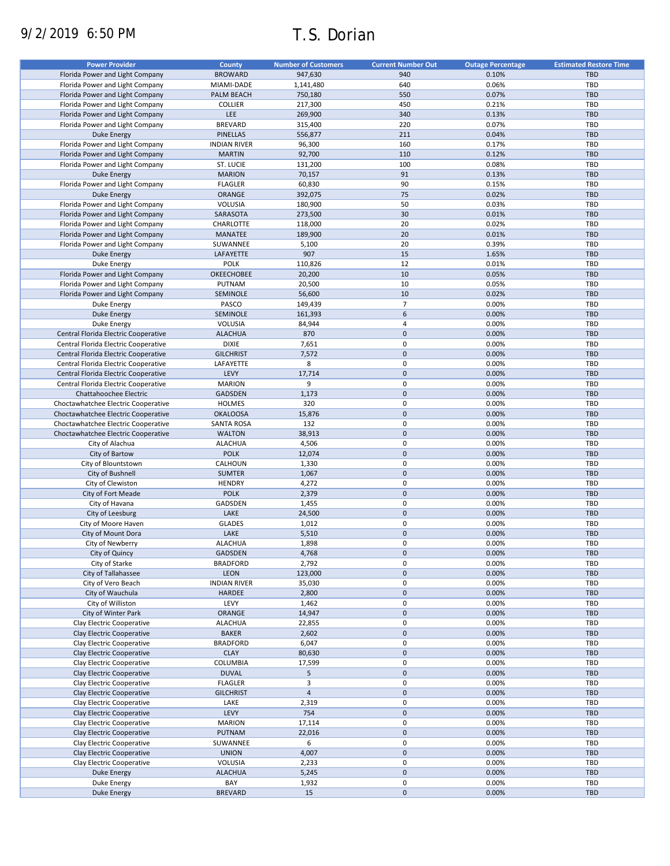# 9/2/2019 6:50 PM T.S. Dorian

| <b>Power Provider</b>                | County              | <b>Number of Customers</b> | <b>Current Number Out</b> | <b>Outage Percentage</b> | <b>Estimated Restore Time</b> |
|--------------------------------------|---------------------|----------------------------|---------------------------|--------------------------|-------------------------------|
| Florida Power and Light Company      | <b>BROWARD</b>      | 947,630                    | 940                       | 0.10%                    | <b>TBD</b>                    |
|                                      |                     |                            |                           |                          |                               |
| Florida Power and Light Company      | MIAMI-DADE          | 1,141,480                  | 640                       | 0.06%                    | TBD                           |
| Florida Power and Light Company      | PALM BEACH          | 750,180                    | 550                       | 0.07%                    | <b>TBD</b>                    |
| Florida Power and Light Company      | <b>COLLIER</b>      | 217,300                    | 450                       | 0.21%                    | TBD                           |
| Florida Power and Light Company      | LEE                 | 269,900                    | 340                       | 0.13%                    | <b>TBD</b>                    |
| Florida Power and Light Company      | <b>BREVARD</b>      | 315,400                    | 220                       | 0.07%                    | TBD                           |
| <b>Duke Energy</b>                   | <b>PINELLAS</b>     | 556,877                    | 211                       | 0.04%                    | <b>TBD</b>                    |
| Florida Power and Light Company      | <b>INDIAN RIVER</b> | 96,300                     | 160                       | 0.17%                    | TBD                           |
| Florida Power and Light Company      | <b>MARTIN</b>       | 92,700                     | 110                       | 0.12%                    | <b>TBD</b>                    |
|                                      | ST. LUCIE           |                            | 100                       | 0.08%                    | <b>TBD</b>                    |
| Florida Power and Light Company      |                     | 131,200                    |                           |                          |                               |
| <b>Duke Energy</b>                   | <b>MARION</b>       | 70,157                     | 91                        | 0.13%                    | <b>TBD</b>                    |
| Florida Power and Light Company      | <b>FLAGLER</b>      | 60,830                     | 90                        | 0.15%                    | TBD                           |
| <b>Duke Energy</b>                   | ORANGE              | 392,075                    | 75                        | 0.02%                    | <b>TBD</b>                    |
| Florida Power and Light Company      | VOLUSIA             | 180,900                    | 50                        | 0.03%                    | TBD                           |
| Florida Power and Light Company      | SARASOTA            | 273,500                    | 30                        | 0.01%                    | <b>TBD</b>                    |
| Florida Power and Light Company      | CHARLOTTE           | 118,000                    | 20                        | 0.02%                    | TBD                           |
| Florida Power and Light Company      | <b>MANATEE</b>      | 189,900                    | 20                        | 0.01%                    | <b>TBD</b>                    |
|                                      |                     |                            |                           |                          |                               |
| Florida Power and Light Company      | SUWANNEE            | 5,100                      | 20                        | 0.39%                    | TBD                           |
| <b>Duke Energy</b>                   | LAFAYETTE           | 907                        | 15                        | 1.65%                    | TBD                           |
| Duke Energy                          | <b>POLK</b>         | 110,826                    | 12                        | 0.01%                    | <b>TBD</b>                    |
| Florida Power and Light Company      | <b>OKEECHOBEE</b>   | 20,200                     | 10                        | 0.05%                    | <b>TBD</b>                    |
| Florida Power and Light Company      | PUTNAM              | 20,500                     | 10                        | 0.05%                    | <b>TBD</b>                    |
| Florida Power and Light Company      | SEMINOLE            | 56,600                     | 10                        | 0.02%                    | <b>TBD</b>                    |
|                                      | PASCO               |                            | $\overline{7}$            | 0.00%                    | TBD                           |
| Duke Energy                          |                     | 149,439                    |                           |                          |                               |
| <b>Duke Energy</b>                   | SEMINOLE            | 161,393                    | 6                         | 0.00%                    | <b>TBD</b>                    |
| Duke Energy                          | VOLUSIA             | 84,944                     | 4                         | 0.00%                    | TBD                           |
| Central Florida Electric Cooperative | <b>ALACHUA</b>      | 870                        | $\pmb{0}$                 | 0.00%                    | <b>TBD</b>                    |
| Central Florida Electric Cooperative | <b>DIXIE</b>        | 7,651                      | $\pmb{0}$                 | 0.00%                    | <b>TBD</b>                    |
| Central Florida Electric Cooperative | <b>GILCHRIST</b>    | 7,572                      | $\pmb{0}$                 | 0.00%                    | <b>TBD</b>                    |
| Central Florida Electric Cooperative | LAFAYETTE           | 8                          | 0                         | 0.00%                    | TBD                           |
| Central Florida Electric Cooperative | LEVY                | 17,714                     | $\pmb{0}$                 | 0.00%                    | <b>TBD</b>                    |
|                                      |                     |                            |                           |                          |                               |
| Central Florida Electric Cooperative | <b>MARION</b>       | 9                          | 0                         | 0.00%                    | <b>TBD</b>                    |
| Chattahoochee Electric               | <b>GADSDEN</b>      | 1,173                      | $\mathbf 0$               | 0.00%                    | <b>TBD</b>                    |
| Choctawhatchee Electric Cooperative  | <b>HOLMES</b>       | 320                        | 0                         | 0.00%                    | TBD                           |
| Choctawhatchee Electric Cooperative  | <b>OKALOOSA</b>     | 15,876                     | $\mathbf 0$               | 0.00%                    | <b>TBD</b>                    |
| Choctawhatchee Electric Cooperative  | <b>SANTA ROSA</b>   | 132                        | 0                         | 0.00%                    | TBD                           |
| Choctawhatchee Electric Cooperative  | <b>WALTON</b>       | 38,913                     | $\pmb{0}$                 | 0.00%                    | <b>TBD</b>                    |
| City of Alachua                      | <b>ALACHUA</b>      | 4,506                      | 0                         | 0.00%                    | TBD                           |
| City of Bartow                       | <b>POLK</b>         |                            | $\pmb{0}$                 | 0.00%                    | <b>TBD</b>                    |
|                                      |                     | 12,074                     |                           |                          |                               |
| City of Blountstown                  | CALHOUN             | 1,330                      | 0                         | 0.00%                    | TBD                           |
| City of Bushnell                     | <b>SUMTER</b>       | 1,067                      | $\pmb{0}$                 | 0.00%                    | <b>TBD</b>                    |
| City of Clewiston                    | <b>HENDRY</b>       | 4,272                      | 0                         | 0.00%                    | TBD                           |
| City of Fort Meade                   | <b>POLK</b>         | 2,379                      | $\pmb{0}$                 | 0.00%                    | <b>TBD</b>                    |
| City of Havana                       | GADSDEN             | 1,455                      | 0                         | 0.00%                    | TBD                           |
| City of Leesburg                     | LAKE                | 24,500                     | $\pmb{0}$                 | 0.00%                    | <b>TBD</b>                    |
| City of Moore Haven                  | <b>GLADES</b>       | 1,012                      | 0                         | 0.00%                    | TBD                           |
|                                      |                     |                            |                           |                          |                               |
| City of Mount Dora                   | LAKE                | 5,510                      | $\pmb{0}$                 | 0.00%                    | <b>TBD</b>                    |
| City of Newberry                     | <b>ALACHUA</b>      | 1,898                      | $\Omega$                  | 0.00%                    | TBD                           |
| City of Quincy                       | GADSDEN             | 4,768                      | $\pmb{0}$                 | 0.00%                    | TBD                           |
| City of Starke                       | <b>BRADFORD</b>     | 2,792                      | 0                         | 0.00%                    | TBD                           |
| City of Tallahassee                  | LEON                | 123,000                    | $\pmb{0}$                 | 0.00%                    | TBD                           |
| City of Vero Beach                   | <b>INDIAN RIVER</b> | 35,030                     | 0                         | 0.00%                    | TBD                           |
| City of Wauchula                     | HARDEE              | 2,800                      | $\pmb{0}$                 | 0.00%                    | TBD                           |
|                                      |                     |                            |                           |                          |                               |
| City of Williston                    | LEVY                | 1,462                      | 0                         | 0.00%                    | TBD                           |
| City of Winter Park                  | ORANGE              | 14,947                     | $\pmb{0}$                 | 0.00%                    | TBD                           |
| Clay Electric Cooperative            | <b>ALACHUA</b>      | 22,855                     | 0                         | 0.00%                    | TBD                           |
| Clay Electric Cooperative            | <b>BAKER</b>        | 2,602                      | $\pmb{0}$                 | 0.00%                    | <b>TBD</b>                    |
| Clay Electric Cooperative            | <b>BRADFORD</b>     | 6,047                      | 0                         | 0.00%                    | TBD                           |
| Clay Electric Cooperative            | <b>CLAY</b>         | 80,630                     | $\pmb{0}$                 | 0.00%                    | TBD                           |
| Clay Electric Cooperative            | COLUMBIA            | 17,599                     | 0                         | 0.00%                    | TBD                           |
|                                      |                     |                            |                           |                          |                               |
| Clay Electric Cooperative            | <b>DUVAL</b>        | 5                          | $\pmb{0}$                 | 0.00%                    | TBD                           |
| Clay Electric Cooperative            | <b>FLAGLER</b>      | 3                          | 0                         | 0.00%                    | TBD                           |
| Clay Electric Cooperative            | <b>GILCHRIST</b>    | $\overline{4}$             | $\pmb{0}$                 | 0.00%                    | TBD                           |
| Clay Electric Cooperative            | LAKE                | 2,319                      | 0                         | 0.00%                    | TBD                           |
| Clay Electric Cooperative            | LEVY                | 754                        | $\pmb{0}$                 | 0.00%                    | TBD                           |
| Clay Electric Cooperative            | <b>MARION</b>       | 17,114                     | 0                         | 0.00%                    | <b>TBD</b>                    |
| Clay Electric Cooperative            | <b>PUTNAM</b>       | 22,016                     | $\pmb{0}$                 | 0.00%                    | TBD                           |
|                                      |                     |                            |                           |                          |                               |
| Clay Electric Cooperative            | SUWANNEE            | 6                          | 0                         | 0.00%                    | <b>TBD</b>                    |
| Clay Electric Cooperative            | <b>UNION</b>        | 4,007                      | $\pmb{0}$                 | 0.00%                    | <b>TBD</b>                    |
| Clay Electric Cooperative            | VOLUSIA             | 2,233                      | 0                         | 0.00%                    | <b>TBD</b>                    |
| Duke Energy                          | <b>ALACHUA</b>      | 5,245                      | $\pmb{0}$                 | 0.00%                    | <b>TBD</b>                    |
| Duke Energy                          | BAY                 | 1,932                      | 0                         | 0.00%                    | TBD                           |
| <b>Duke Energy</b>                   | <b>BREVARD</b>      | 15                         | $\pmb{0}$                 | 0.00%                    | TBD                           |
|                                      |                     |                            |                           |                          |                               |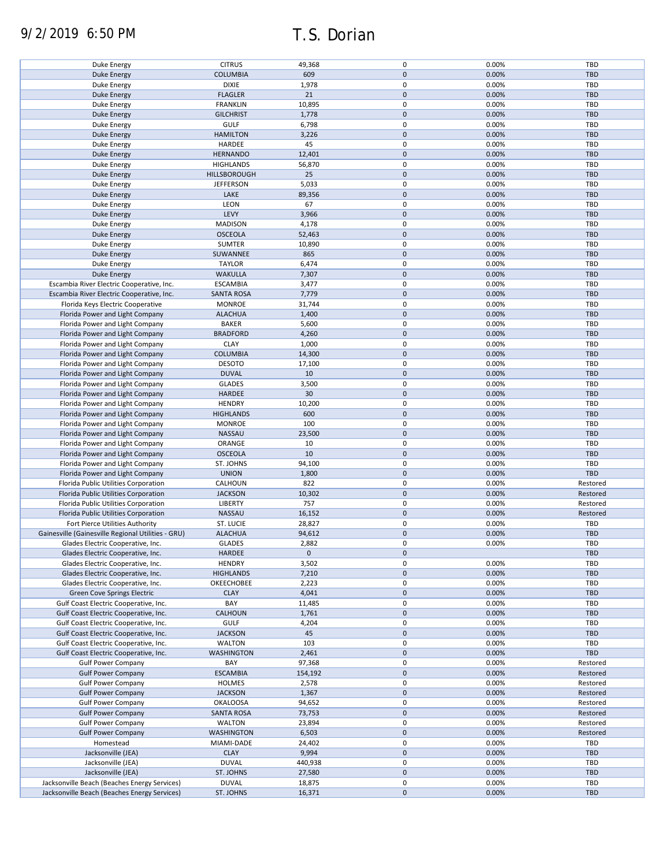| Duke Energy                                                                                  | <b>CITRUS</b>             | 49,368           | $\mathbf 0$      | 0.00%          | TBD               |
|----------------------------------------------------------------------------------------------|---------------------------|------------------|------------------|----------------|-------------------|
| <b>Duke Energy</b>                                                                           | <b>COLUMBIA</b>           | 609              | $\mathbf 0$      | 0.00%          | <b>TBD</b>        |
| Duke Energy                                                                                  | <b>DIXIE</b>              | 1,978            | $\mathbf 0$      | 0.00%          | TBD               |
|                                                                                              |                           |                  |                  |                |                   |
| <b>Duke Energy</b>                                                                           | <b>FLAGLER</b>            | 21               | $\mathbf 0$      | 0.00%          | <b>TBD</b>        |
| Duke Energy                                                                                  | <b>FRANKLIN</b>           | 10,895           | 0                | 0.00%          | TBD               |
| Duke Energy                                                                                  | <b>GILCHRIST</b>          | 1,778            | $\mathbf 0$      | 0.00%          | <b>TBD</b>        |
|                                                                                              |                           |                  |                  |                |                   |
| Duke Energy                                                                                  | <b>GULF</b>               | 6,798            | 0                | 0.00%          | TBD               |
| Duke Energy                                                                                  | <b>HAMILTON</b>           | 3,226            | $\mathbf 0$      | 0.00%          | <b>TBD</b>        |
| Duke Energy                                                                                  | HARDEE                    | 45               | 0                | 0.00%          | TBD               |
|                                                                                              |                           |                  |                  |                |                   |
| <b>Duke Energy</b>                                                                           | <b>HERNANDO</b>           | 12,401           | $\mathbf 0$      | 0.00%          | <b>TBD</b>        |
| Duke Energy                                                                                  | <b>HIGHLANDS</b>          | 56,870           | 0                | 0.00%          | <b>TBD</b>        |
| Duke Energy                                                                                  | HILLSBOROUGH              | 25               | $\mathbf 0$      | 0.00%          | <b>TBD</b>        |
|                                                                                              |                           |                  |                  |                |                   |
| Duke Energy                                                                                  | <b>JEFFERSON</b>          | 5,033            | 0                | 0.00%          | <b>TBD</b>        |
| Duke Energy                                                                                  | LAKE                      | 89,356           | $\mathbf 0$      | 0.00%          | <b>TBD</b>        |
| Duke Energy                                                                                  | LEON                      | 67               | 0                | 0.00%          | TBD               |
|                                                                                              |                           |                  |                  |                |                   |
| Duke Energy                                                                                  | LEVY                      | 3,966            | $\mathbf 0$      | 0.00%          | <b>TBD</b>        |
| Duke Energy                                                                                  | <b>MADISON</b>            | 4,178            | 0                | 0.00%          | TBD               |
| <b>Duke Energy</b>                                                                           | <b>OSCEOLA</b>            | 52,463           | $\pmb{0}$        | 0.00%          | <b>TBD</b>        |
|                                                                                              |                           |                  |                  |                |                   |
| Duke Energy                                                                                  | SUMTER                    | 10,890           | $\pmb{0}$        | 0.00%          | TBD               |
| <b>Duke Energy</b>                                                                           | SUWANNEE                  | 865              | $\pmb{0}$        | 0.00%          | <b>TBD</b>        |
|                                                                                              |                           |                  | $\pmb{0}$        |                |                   |
| Duke Energy                                                                                  | <b>TAYLOR</b>             | 6,474            |                  | 0.00%          | <b>TBD</b>        |
| <b>Duke Energy</b>                                                                           | <b>WAKULLA</b>            | 7,307            | $\mathbf 0$      | 0.00%          | <b>TBD</b>        |
| Escambia River Electric Cooperative, Inc.                                                    | <b>ESCAMBIA</b>           | 3,477            | $\pmb{0}$        | 0.00%          | <b>TBD</b>        |
|                                                                                              |                           |                  |                  |                |                   |
| Escambia River Electric Cooperative, Inc.                                                    | <b>SANTA ROSA</b>         | 7,779            | $\mathbf 0$      | 0.00%          | <b>TBD</b>        |
| Florida Keys Electric Cooperative                                                            | <b>MONROE</b>             | 31,744           | $\mathbf 0$      | 0.00%          | <b>TBD</b>        |
| Florida Power and Light Company                                                              | <b>ALACHUA</b>            | 1,400            | $\mathbf 0$      | 0.00%          | <b>TBD</b>        |
|                                                                                              |                           |                  |                  |                |                   |
| Florida Power and Light Company                                                              | <b>BAKER</b>              | 5,600            | $\mathbf 0$      | 0.00%          | <b>TBD</b>        |
| Florida Power and Light Company                                                              | <b>BRADFORD</b>           | 4,260            | $\mathbf 0$      | 0.00%          | <b>TBD</b>        |
|                                                                                              | <b>CLAY</b>               |                  | 0                | 0.00%          | TBD               |
| Florida Power and Light Company                                                              |                           | 1,000            |                  |                |                   |
| Florida Power and Light Company                                                              | <b>COLUMBIA</b>           | 14,300           | $\pmb{0}$        | 0.00%          | <b>TBD</b>        |
| Florida Power and Light Company                                                              | <b>DESOTO</b>             | 17,100           | 0                | 0.00%          | TBD               |
|                                                                                              |                           |                  |                  |                |                   |
| Florida Power and Light Company                                                              | <b>DUVAL</b>              | 10               | $\mathbf 0$      | 0.00%          | <b>TBD</b>        |
| Florida Power and Light Company                                                              | <b>GLADES</b>             | 3,500            | $\mathbf 0$      | 0.00%          | TBD               |
| Florida Power and Light Company                                                              | HARDEE                    | 30               | $\pmb{0}$        | 0.00%          | <b>TBD</b>        |
|                                                                                              |                           |                  |                  |                |                   |
| Florida Power and Light Company                                                              | <b>HENDRY</b>             | 10,200           | 0                | 0.00%          | <b>TBD</b>        |
| Florida Power and Light Company                                                              | <b>HIGHLANDS</b>          | 600              | $\mathbf 0$      | 0.00%          | <b>TBD</b>        |
| Florida Power and Light Company                                                              | <b>MONROE</b>             | 100              | 0                | 0.00%          | TBD               |
|                                                                                              |                           |                  |                  |                |                   |
| Florida Power and Light Company                                                              | NASSAU                    | 23,500           | $\mathbf 0$      | 0.00%          | <b>TBD</b>        |
| Florida Power and Light Company                                                              | ORANGE                    | 10               | $\pmb{0}$        | 0.00%          | TBD               |
| Florida Power and Light Company                                                              | <b>OSCEOLA</b>            | 10               | $\pmb{0}$        | 0.00%          | <b>TBD</b>        |
|                                                                                              |                           |                  |                  |                |                   |
| Florida Power and Light Company                                                              | ST. JOHNS                 | 94,100           | 0                | 0.00%          | TBD               |
| Florida Power and Light Company                                                              | <b>UNION</b>              | 1,800            | $\mathbf 0$      | 0.00%          | <b>TBD</b>        |
|                                                                                              |                           |                  |                  |                |                   |
| Florida Public Utilities Corporation                                                         | CALHOUN                   | 822              | $\pmb{0}$        | 0.00%          | Restored          |
| Florida Public Utilities Corporation                                                         | <b>JACKSON</b>            | 10,302           | $\mathbf 0$      | 0.00%          | Restored          |
| Florida Public Utilities Corporation                                                         | LIBERTY                   | 757              | 0                | 0.00%          | Restored          |
|                                                                                              |                           |                  |                  |                |                   |
| Florida Public Utilities Corporation                                                         | NASSAU                    | 16,152           | $\mathbf 0$      | 0.00%          | Restored          |
| Fort Pierce Utilities Authority                                                              | ST. LUCIE                 | 28,827           | $\pmb{0}$        | 0.00%          | TBD               |
| Gainesville (Gainesville Regional Utilities - GRU)                                           | <b>ALACHUA</b>            | 94,612           | $\mathbf 0$      | 0.00%          | <b>TBD</b>        |
|                                                                                              |                           |                  |                  |                |                   |
| Glades Electric Cooperative, Inc.                                                            | <b>GLADES</b>             | 2,882            | $\mathbf 0$      | 0.00%          | TBD               |
| Glades Electric Cooperative, Inc.                                                            | <b>HARDEE</b>             | $\mathbf 0$      | $\mathbf 0$      |                | <b>TBD</b>        |
|                                                                                              | <b>HENDRY</b>             |                  |                  |                |                   |
| Glades Electric Cooperative, Inc.                                                            |                           |                  |                  |                |                   |
|                                                                                              |                           | 3,502            | 0                | 0.00%          | TBD               |
| Glades Electric Cooperative, Inc.                                                            | <b>HIGHLANDS</b>          | 7,210            | $\mathbf 0$      | 0.00%          | <b>TBD</b>        |
|                                                                                              |                           |                  |                  |                |                   |
| Glades Electric Cooperative, Inc.                                                            | OKEECHOBEE                | 2,223            | 0                | 0.00%          | TBD               |
| <b>Green Cove Springs Electric</b>                                                           | <b>CLAY</b>               | 4,041            | $\mathbf 0$      | 0.00%          | <b>TBD</b>        |
| Gulf Coast Electric Cooperative, Inc.                                                        | BAY                       | 11,485           | 0                | 0.00%          | TBD               |
|                                                                                              |                           |                  |                  |                |                   |
| Gulf Coast Electric Cooperative, Inc.                                                        | CALHOUN                   | 1,761            | $\mathbf 0$      | 0.00%          | <b>TBD</b>        |
| Gulf Coast Electric Cooperative, Inc.                                                        | <b>GULF</b>               | 4,204            | 0                | 0.00%          | TBD               |
| Gulf Coast Electric Cooperative, Inc.                                                        | <b>JACKSON</b>            | 45               | 0                | 0.00%          | <b>TBD</b>        |
|                                                                                              |                           |                  |                  |                |                   |
| Gulf Coast Electric Cooperative, Inc.                                                        | <b>WALTON</b>             | 103              | 0                | 0.00%          | TBD               |
| Gulf Coast Electric Cooperative, Inc.                                                        | <b>WASHINGTON</b>         | 2,461            | $\mathbf 0$      | 0.00%          | <b>TBD</b>        |
|                                                                                              |                           |                  |                  |                |                   |
| <b>Gulf Power Company</b>                                                                    | BAY                       | 97,368           | 0                | 0.00%          | Restored          |
| <b>Gulf Power Company</b>                                                                    | <b>ESCAMBIA</b>           | 154,192          | $\mathbf 0$      | 0.00%          | Restored          |
| <b>Gulf Power Company</b>                                                                    | HOLMES                    | 2,578            | 0                | 0.00%          | Restored          |
|                                                                                              |                           |                  |                  |                |                   |
| <b>Gulf Power Company</b>                                                                    | <b>JACKSON</b>            | 1,367            | $\pmb{0}$        | 0.00%          | Restored          |
| <b>Gulf Power Company</b>                                                                    | <b>OKALOOSA</b>           | 94,652           | 0                | 0.00%          | Restored          |
| <b>Gulf Power Company</b>                                                                    | <b>SANTA ROSA</b>         |                  | $\mathbf 0$      | 0.00%          | Restored          |
|                                                                                              |                           | 73,753           |                  |                |                   |
| <b>Gulf Power Company</b>                                                                    | <b>WALTON</b>             | 23,894           | 0                | 0.00%          | Restored          |
| <b>Gulf Power Company</b>                                                                    | <b>WASHINGTON</b>         | 6,503            | $\pmb{0}$        | 0.00%          | Restored          |
|                                                                                              |                           |                  |                  |                |                   |
| Homestead                                                                                    | MIAMI-DADE                | 24,402           | $\mathbf 0$      | 0.00%          | TBD               |
| Jacksonville (JEA)                                                                           | <b>CLAY</b>               | 9,994            | $\pmb{0}$        | 0.00%          | TBD               |
| Jacksonville (JEA)                                                                           | <b>DUVAL</b>              | 440,938          | 0                | 0.00%          | TBD               |
|                                                                                              |                           |                  |                  |                |                   |
| Jacksonville (JEA)                                                                           | ST. JOHNS                 | 27,580           | $\mathbf 0$      | 0.00%          | <b>TBD</b>        |
| Jacksonville Beach (Beaches Energy Services)<br>Jacksonville Beach (Beaches Energy Services) | <b>DUVAL</b><br>ST. JOHNS | 18,875<br>16,371 | 0<br>$\mathbf 0$ | 0.00%<br>0.00% | TBD<br><b>TBD</b> |